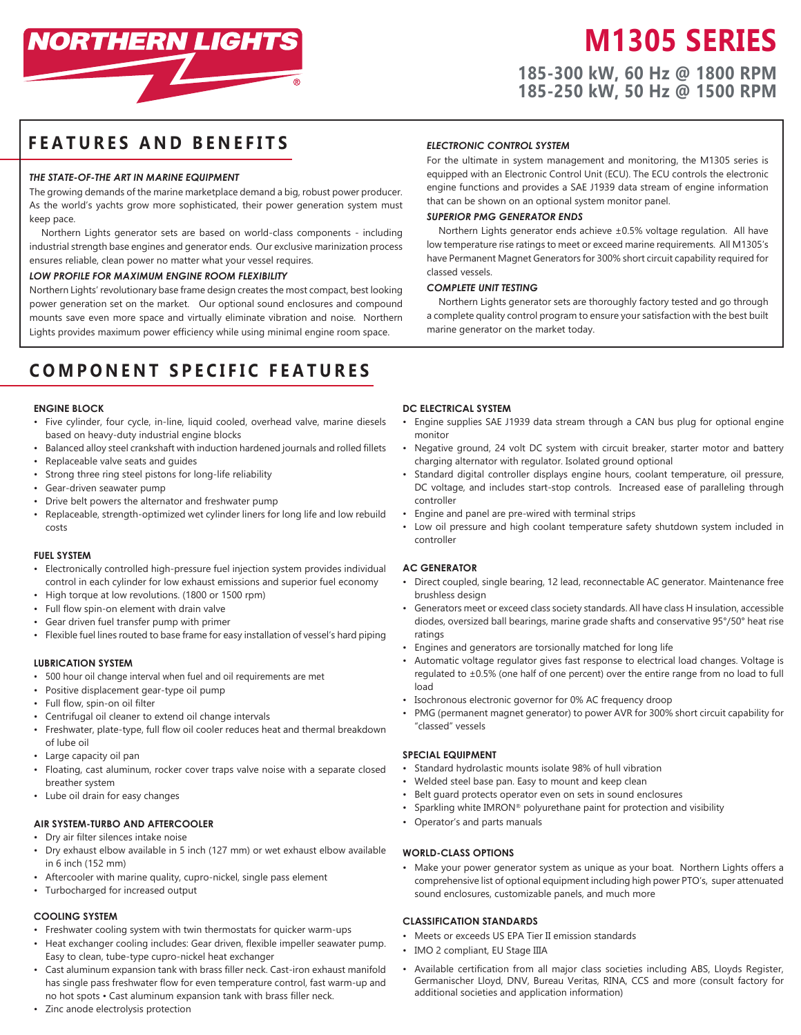

# **M1305 SERIES**

**185-300 kW, 60 Hz @ 1800 RPM 185-250 kW, 50 Hz @ 1500 RPM**

# **FEATURES AND BENEFITS**

# *THE STATE-OF-THE ART IN MARINE EQUIPMENT*

The growing demands of the marine marketplace demand a big, robust power producer. As the world's yachts grow more sophisticated, their power generation system must keep pace.

Northern Lights generator sets are based on world-class components - including industrial strength base engines and generator ends. Our exclusive marinization process ensures reliable, clean power no matter what your vessel requires.

#### *LOW PROFILE FOR MAXIMUM ENGINE ROOM FLEXIBILITY*

Northern Lights' revolutionary base frame design creates the most compact, best looking power generation set on the market. Our optional sound enclosures and compound mounts save even more space and virtually eliminate vibration and noise. Northern Lights provides maximum power efficiency while using minimal engine room space.

# **COMPONENT SPECIFIC FEATURES**

# **ENGINE BLOCK**

- Five cylinder, four cycle, in-line, liquid cooled, overhead valve, marine diesels based on heavy-duty industrial engine blocks
- Balanced alloy steel crankshaft with induction hardened journals and rolled fillets
- Replaceable valve seats and guides
- Strong three ring steel pistons for long-life reliability
- Gear-driven seawater pump
- Drive belt powers the alternator and freshwater pump
- Replaceable, strength-optimized wet cylinder liners for long life and low rebuild costs

#### **FUEL SYSTEM**

- Electronically controlled high-pressure fuel injection system provides individual control in each cylinder for low exhaust emissions and superior fuel economy
- High torque at low revolutions. (1800 or 1500 rpm)
- Full flow spin-on element with drain valve
- Gear driven fuel transfer pump with primer
- Flexible fuel lines routed to base frame for easy installation of vessel's hard piping

#### **LUBRICATION SYSTEM**

- 500 hour oil change interval when fuel and oil requirements are met
- Positive displacement gear-type oil pump
- Full flow, spin-on oil filter
- Centrifugal oil cleaner to extend oil change intervals
- Freshwater, plate-type, full flow oil cooler reduces heat and thermal breakdown of lube oil
- Large capacity oil pan
- Floating, cast aluminum, rocker cover traps valve noise with a separate closed breather system
- Lube oil drain for easy changes

# **AIR SYSTEM-TURBO AND AFTERCOOLER**

- Dry air filter silences intake noise
- Dry exhaust elbow available in 5 inch (127 mm) or wet exhaust elbow available in 6 inch (152 mm)
- Aftercooler with marine quality, cupro-nickel, single pass element
- Turbocharged for increased output

# **COOLING SYSTEM**

- Freshwater cooling system with twin thermostats for quicker warm-ups
- Heat exchanger cooling includes: Gear driven, flexible impeller seawater pump. Easy to clean, tube-type cupro-nickel heat exchanger
- Cast aluminum expansion tank with brass filler neck. Cast-iron exhaust manifold has single pass freshwater flow for even temperature control, fast warm-up and no hot spots • Cast aluminum expansion tank with brass filler neck.
- Zinc anode electrolysis protection

#### *ELECTRONIC CONTROL SYSTEM*

For the ultimate in system management and monitoring, the M1305 series is equipped with an Electronic Control Unit (ECU). The ECU controls the electronic engine functions and provides a SAE J1939 data stream of engine information that can be shown on an optional system monitor panel.

# *SUPERIOR PMG GENERATOR ENDS*

Northern Lights generator ends achieve ±0.5% voltage regulation. All have low temperature rise ratings to meet or exceed marine requirements. All M1305's have Permanent Magnet Generators for 300% short circuit capability required for classed vessels.

# *COMPLETE UNIT TESTING*

Northern Lights generator sets are thoroughly factory tested and go through a complete quality control program to ensure your satisfaction with the best built marine generator on the market today.

# **DC ELECTRICAL SYSTEM**

- Engine supplies SAE J1939 data stream through a CAN bus plug for optional engine monitor
- Negative ground, 24 volt DC system with circuit breaker, starter motor and battery charging alternator with regulator. Isolated ground optional
- Standard digital controller displays engine hours, coolant temperature, oil pressure, DC voltage, and includes start-stop controls. Increased ease of paralleling through controller
- Engine and panel are pre-wired with terminal strips
- Low oil pressure and high coolant temperature safety shutdown system included in controller

#### **AC GENERATOR**

- Direct coupled, single bearing, 12 lead, reconnectable AC generator. Maintenance free brushless design
- Generators meet or exceed class society standards. All have class H insulation, accessible diodes, oversized ball bearings, marine grade shafts and conservative 95°/50° heat rise ratings
- Engines and generators are torsionally matched for long life
- Automatic voltage regulator gives fast response to electrical load changes. Voltage is regulated to ±0.5% (one half of one percent) over the entire range from no load to full load
- Isochronous electronic governor for 0% AC frequency droop
- PMG (permanent magnet generator) to power AVR for 300% short circuit capability for "classed" vessels

### **SPECIAL EQUIPMENT**

- Standard hydrolastic mounts isolate 98% of hull vibration
- Welded steel base pan. Easy to mount and keep clean
- Belt guard protects operator even on sets in sound enclosures
- Sparkling white IMRON® polyurethane paint for protection and visibility
- Operator's and parts manuals

#### **WORLD-CLASS OPTIONS**

• Make your power generator system as unique as your boat. Northern Lights offers a comprehensive list of optional equipment including high power PTO's, super attenuated sound enclosures, customizable panels, and much more

### **CLASSIFICATION STANDARDS**

- Meets or exceeds US EPA Tier II emission standards
- IMO 2 compliant, EU Stage IIIA
- Available certification from all major class societies including ABS, Lloyds Register, Germanischer Lloyd, DNV, Bureau Veritas, RINA, CCS and more (consult factory for additional societies and application information)